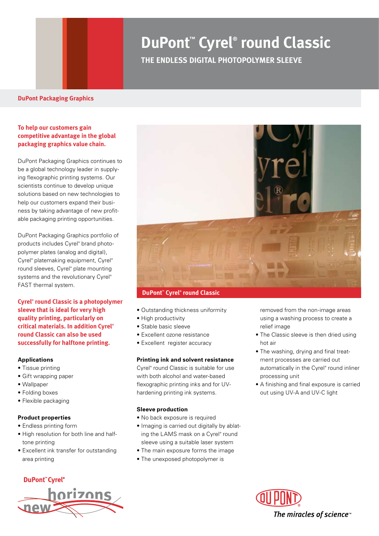# **DuPont™ Cyrel® round Classic**

**THE ENDLESS DIGITAL PHOTOPOLYMER SLEEVE**

#### **DuPont Packaging Graphics**

## **To help our customers gain competitive advantage in the global packaging graphics value chain.**

DuPont Packaging Graphics continues to be a global technology leader in supplying flexographic printing systems. Our scientists continue to develop unique solutions based on new technologies to help our customers expand their business by taking advantage of new profitable packaging printing opportunities.

DuPont Packaging Graphics portfolio of products includes Cyrel® brand photopolymer plates (analog and digital), Cyrel® platemaking equipment, Cyrel® round sleeves, Cyrel® plate mounting systems and the revolutionary Cyrel® FAST thermal system.

**Cyrel® round Classic is a photopolymer sleeve that is ideal for very high quality printing, particularly on critical materials. In addition Cyrel® round Classic can also be used successfully for halftone printing.**

#### **Applications**

- Tissue printing
- Gift wrapping paper
- Wallpaper
- Folding boxes
- Flexible packaging

#### **Product properties**

- Endless printing form
- High resolution for both line and halftone printing
- Excellent ink transfer for outstanding area printing

### **DuPont"Cyrel®**





#### **DuPont™ Cyrel® round Classic**

- Outstanding thickness uniformity
- High productivity
- Stable basic sleeve
- Excellent ozone resistance
- Excellent register accuracy

#### **Printing ink and solvent resistance**

Cyrel® round Classic is suitable for use with both alcohol and water-based flexographic printing inks and for UVhardening printing ink systems.

#### **Sleeve production**

- No back exposure is required
- Imaging is carried out digitally by ablating the LAMS mask on a Cyrel® round sleeve using a suitable laser system
- The main exposure forms the image
- The unexposed photopolymer is
- removed from the non-image areas using a washing process to create a relief image
- The Classic sleeve is then dried using hot air
- The washing, drying and final treatment processes are carried out automatically in the Cyrel® round inliner processing unit
- A finishing and final exposure is carried out using UV-A and UV-C light